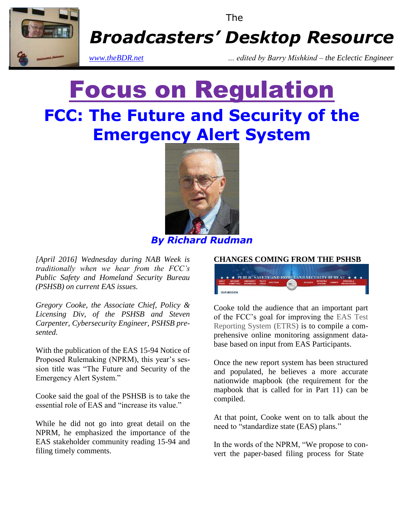

The

*Broadcasters' Desktop Resource*

*www.theBDR.net … edited by Barry Mishkind – the Eclectic Engineer*

# Focus on Regulation **FCC: The Future and Security of the Emergency Alert System**



*By Richard Rudman*

*[April 2016] Wednesday during NAB Week is traditionally when we hear from the FCC's Public Safety and Homeland Security Bureau (PSHSB) on current EAS issues.* 

*Gregory Cooke, the Associate Chief, Policy & Licensing Div, of the PSHSB and Steven Carpenter, Cybersecurity Engineer, PSHSB presented.*

With the publication of the EAS 15-94 Notice of Proposed Rulemaking (NPRM), this year's session title was "The Future and Security of the Emergency Alert System."

Cooke said the goal of the PSHSB is to take the essential role of EAS and "increase its value."

While he did not go into great detail on the NPRM, he emphasized the importance of the EAS stakeholder community reading 15-94 and filing timely comments.

#### **CHANGES COMING FROM THE PSHSB**



Cooke told the audience that an important part of the FCC's goal for improving the EAS Test Reporting System (ETRS) is to compile a comprehensive online monitoring assignment database based on input from EAS Participants.

Once the new report system has been structured and populated, he believes a more accurate nationwide mapbook (the requirement for the mapbook that is called for in Part 11) can be compiled.

At that point, Cooke went on to talk about the need to "standardize state (EAS) plans."

In the words of the NPRM, "We propose to convert the paper-based filing process for State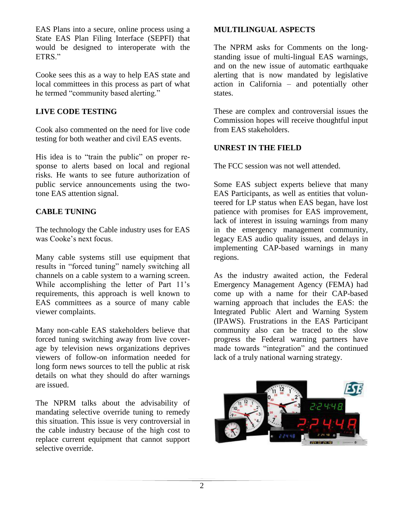EAS Plans into a secure, online process using a State EAS Plan Filing Interface (SEPFI) that would be designed to interoperate with the ETRS."

Cooke sees this as a way to help EAS state and local committees in this process as part of what he termed "community based alerting."

## **LIVE CODE TESTING**

Cook also commented on the need for live code testing for both weather and civil EAS events.

His idea is to "train the public" on proper response to alerts based on local and regional risks. He wants to see future authorization of public service announcements using the twotone EAS attention signal.

### **CABLE TUNING**

The technology the Cable industry uses for EAS was Cooke's next focus.

Many cable systems still use equipment that results in "forced tuning" namely switching all channels on a cable system to a warning screen. While accomplishing the letter of Part 11's requirements, this approach is well known to EAS committees as a source of many cable viewer complaints.

Many non-cable EAS stakeholders believe that forced tuning switching away from live coverage by television news organizations deprives viewers of follow-on information needed for long form news sources to tell the public at risk details on what they should do after warnings are issued.

The NPRM talks about the advisability of mandating selective override tuning to remedy this situation. This issue is very controversial in the cable industry because of the high cost to replace current equipment that cannot support selective override.

## **MULTILINGUAL ASPECTS**

The NPRM asks for Comments on the longstanding issue of multi-lingual EAS warnings, and on the new issue of automatic earthquake alerting that is now mandated by legislative action in California – and potentially other states.

These are complex and controversial issues the Commission hopes will receive thoughtful input from EAS stakeholders.

### **UNREST IN THE FIELD**

The FCC session was not well attended.

Some EAS subject experts believe that many EAS Participants, as well as entities that volunteered for LP status when EAS began, have lost patience with promises for EAS improvement, lack of interest in issuing warnings from many in the emergency management community, legacy EAS audio quality issues, and delays in implementing CAP-based warnings in many regions.

As the industry awaited action, the Federal Emergency Management Agency (FEMA) had come up with a name for their CAP-based warning approach that includes the EAS: the Integrated Public Alert and Warning System (IPAWS). Frustrations in the EAS Participant community also can be traced to the slow progress the Federal warning partners have made towards "integration" and the continued lack of a truly national warning strategy.